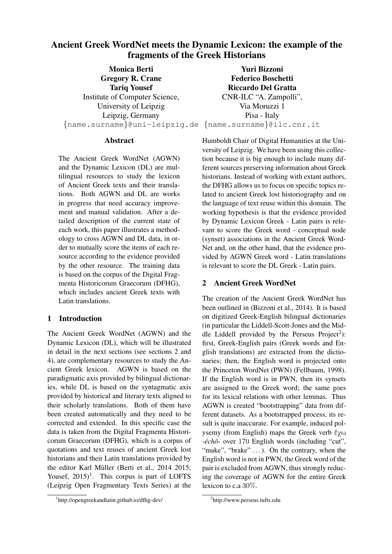# Ancient Greek WordNet meets the Dynamic Lexicon: the example of the fragments of the Greek Historians

Monica Berti Gregory R. Crane Tariq Yousef Institute of Computer Science, University of Leipzig Leipzig, Germany {name.surname}@uni-leipzig.de {name.surname}@ilc.cnr.it

Yuri Bizzoni Federico Boschetti Riccardo Del Gratta CNR-ILC "A. Zampolli", Via Moruzzi 1 Pisa - Italy

### **Abstract**

The Ancient Greek WordNet (AGWN) and the Dynamic Lexicon (DL) are multilingual resources to study the lexicon of Ancient Greek texts and their translations. Both AGWN and DL are works in progress that need accuracy improvement and manual validation. After a detailed description of the current state of each work, this paper illustrates a methodology to cross AGWN and DL data, in order to mutually score the items of each resource according to the evidence provided by the other resource. The training data is based on the corpus of the Digital Fragmenta Historicorum Graecorum (DFHG), which includes ancient Greek texts with Latin translations.

### 1 Introduction

The Ancient Greek WordNet (AGWN) and the Dynamic Lexicon (DL), which will be illustrated in detail in the next sections (see sections 2 and 4), are complementary resources to study the Ancient Greek lexicon. AGWN is based on the paradigmatic axis provided by bilingual dictionaries, while DL is based on the syntagmatic axis provided by historical and literary texts aligned to their scholarly translations. Both of them have been created automatically and they need to be corrected and extended. In this specific case the data is taken from the Digital Fragmenta Historicorum Graecorum (DFHG), which is a corpus of quotations and text reuses of ancient Greek lost historians and their Latin translations provided by the editor Karl Müller (Berti et al., 2014 2015; Yousef,  $2015$ <sup>1</sup>. This corpus is part of LOFTS (Leipzig Open Fragmentary Texts Series) at the

Humboldt Chair of Digital Humanities at the University of Leipzig. We have been using this collection because it is big enough to include many different sources preserving information about Greek historians. Instead of working with extant authors, the DFHG allows us to focus on specific topics related to ancient Greek lost historiography and on the language of text reuse within this domain. The working hypothesis is that the evidence provided by Dynamic Lexicon Greek - Latin pairs is relevant to score the Greek word - conceptual node (synset) associations in the Ancient Greek Word-Net and, on the other hand, that the evidence provided by AGWN Greek word - Latin translations is relevant to score the DL Greek - Latin pairs.

# 2 Ancient Greek WordNet

The creation of the Ancient Greek WordNet has been outlined in (Bizzoni et al., 2014). It is based on digitized Greek-English bilingual dictionaries (in particular the Liddell-Scott-Jones and the Middle Liddell provided by the Perseus Project<sup>2</sup>): first, Greek-English pairs (Greek words and English translations) are extracted from the dictionaries; then, the English word is projected onto the Princeton WordNet (PWN) (Fellbaum, 1998). If the English word is in PWN, then its synsets are assigned to the Greek word; the same goes for its lexical relations with other lemmas. Thus AGWN is created "bootstrapping" data from different datasets. As a bootstrapped process, its result is quite inaccurate. For example, induced polysemy (from English) maps the Greek verb ἔχω -échō- over 170 English words (including "cut", "make", "brake" ...). On the contrary, when the English word is not in PWN, the Greek word of the pair is excluded from AGWN, thus strongly reducing the coverage of AGWN for the entire Greek lexicon to c.a 30%.

<sup>1</sup> http://opengreekandlatin.github.io/dfhg-dev/

<sup>2</sup> http://www.perseus.tufts.edu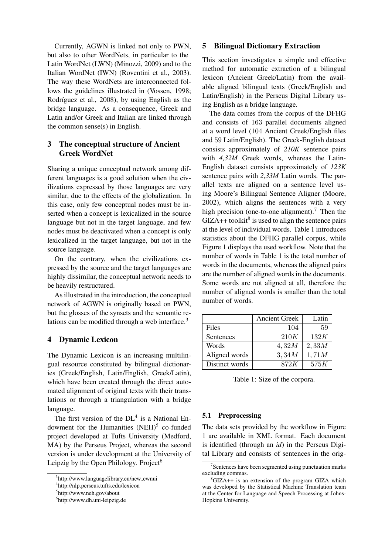Currently, AGWN is linked not only to PWN, but also to other WordNets, in particular to the Latin WordNet (LWN) (Minozzi, 2009) and to the Italian WordNet (IWN) (Roventini et al., 2003). The way these WordNets are interconnected follows the guidelines illustrated in (Vossen, 1998; Rodríguez et al., 2008), by using English as the bridge language. As a consequence, Greek and Latin and/or Greek and Italian are linked through the common sense(s) in English.

# 3 The conceptual structure of Ancient Greek WordNet

Sharing a unique conceptual network among different languages is a good solution when the civilizations expressed by those languages are very similar, due to the effects of the globalization. In this case, only few conceptual nodes must be inserted when a concept is lexicalized in the source language but not in the target language, and few nodes must be deactivated when a concept is only lexicalized in the target language, but not in the source language.

On the contrary, when the civilizations expressed by the source and the target languages are highly dissimilar, the conceptual network needs to be heavily restructured.

As illustrated in the introduction, the conceptual network of AGWN is originally based on PWN, but the glosses of the synsets and the semantic relations can be modified through a web interface. $3$ 

### 4 Dynamic Lexicon

The Dynamic Lexicon is an increasing multilingual resource constituted by bilingual dictionaries (Greek/English, Latin/English, Greek/Latin), which have been created through the direct automated alignment of original texts with their translations or through a triangulation with a bridge language.

The first version of the  $DL<sup>4</sup>$  is a National Endowment for the Humanities  $(NEH)^5$  co-funded project developed at Tufts University (Medford, MA) by the Perseus Project, whereas the second version is under development at the University of Leipzig by the Open Philology. Project<sup>6</sup>

# 5 Bilingual Dictionary Extraction

This section investigates a simple and effective method for automatic extraction of a bilingual lexicon (Ancient Greek/Latin) from the available aligned bilingual texts (Greek/English and Latin/English) in the Perseus Digital Library using English as a bridge language.

The data comes from the corpus of the DFHG and consists of 163 parallel documents aligned at a word level (104 Ancient Greek/English files and 59 Latin/English). The Greek-English dataset consists approximately of *210K* sentence pairs with *4,32M* Greek words, whereas the Latin-English dataset consists approximately of *123K* sentence pairs with *2,33M* Latin words. The parallel texts are aligned on a sentence level using Moore's Bilingual Sentence Aligner (Moore, 2002), which aligns the sentences with a very high precision (one-to-one alignment).<sup>7</sup> Then the  $GIZA++$  toolkit<sup>8</sup> is used to align the sentence pairs at the level of individual words. Table 1 introduces statistics about the DFHG parallel corpus, while Figure 1 displays the used workflow. Note that the number of words in Table 1 is the total number of words in the documents, whereas the aligned pairs are the number of aligned words in the documents. Some words are not aligned at all, therefore the number of aligned words is smaller than the total number of words.

|                | <b>Ancient Greek</b> | Latin |
|----------------|----------------------|-------|
| Files          | 104                  | 59    |
| Sentences      | 210K                 | 132K  |
| Words          | 4,32M                | 2,33M |
| Aligned words  | 3,34M                | 1,71M |
| Distinct words | 872K                 | 575K  |

Table 1: Size of the corpora.

### 5.1 Preprocessing

The data sets provided by the workflow in Figure 1 are available in XML format. Each document is identified (through an *id*) in the Perseus Digital Library and consists of sentences in the orig-

<sup>&</sup>lt;sup>3</sup>http://www.languagelibrary.eu/new\_ewnui

<sup>4</sup> http://nlp.perseus.tufts.edu/lexicon

<sup>5</sup> http://www.neh.gov/about

<sup>6</sup> http://www.dh.uni-leipzig.de

<sup>&</sup>lt;sup>7</sup>Sentences have been segmented using punctuation marks excluding commas.

 ${}^{8}$ GIZA++ is an extension of the program GIZA which was developed by the Statistical Machine Translation team at the Center for Language and Speech Processing at Johns-Hopkins University.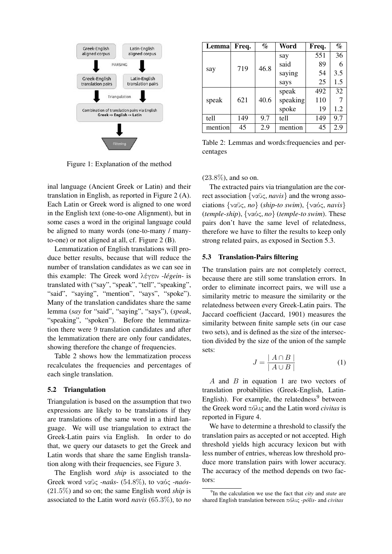

Figure 1: Explanation of the method

inal language (Ancient Greek or Latin) and their translation in English, as reported in Figure 2 (A). Each Latin or Greek word is aligned to one word in the English text (one-to-one Alignment), but in some cases a word in the original language could be aligned to many words (one-to-many / manyto-one) or not aligned at all, cf. Figure 2 (B).

Lemmatization of English translations will produce better results, because that will reduce the number of translation candidates as we can see in this example: The Greek word λέγειν -*legein ´* - is translated with ("say", "speak", "tell", "speaking", "said", "saying", "mention", "says", "spoke"). Many of the translation candidates share the same lemma (*say* for "said", "saying", "says"), (*speak*, "speaking", "spoken"). Before the lemmatization there were 9 translation candidates and after the lemmatization there are only four candidates, showing therefore the change of frequencies.

Table 2 shows how the lemmatization process recalculates the frequencies and percentages of each single translation.

#### 5.2 Triangulation

Triangulation is based on the assumption that two expressions are likely to be translations if they are translations of the same word in a third language. We will use triangulation to extract the Greek-Latin pairs via English. In order to do that, we query our datasets to get the Greek and Latin words that share the same English translation along with their frequencies, see Figure 3.

The English word *ship* is associated to the Greek word ναῦς -naûs- (54.8%), to ναός -naόs-(21.5%) and so on; the same English word *ship* is associated to the Latin word *navis* (65.3%), to *no*

| Lemma   | Freq. | $\%$ | Word     | Freq. | $\%$ |
|---------|-------|------|----------|-------|------|
| say     | 719   | 46.8 | say      | 551   | 36   |
|         |       |      | said     | 89    | 6    |
|         |       |      | saying   | 54    | 3.5  |
|         |       |      | says     | 25    | 1.5  |
| speak   | 621   | 40.6 | speak    | 492   | 32   |
|         |       |      | speaking | 110   |      |
|         |       |      | spoke    | 19    | 1.2  |
| tell    | 149   | 9.7  | tell     | 149   | 9.7  |
| mention | 45    | 2.9  | mention  | 45    | 2.9  |

Table 2: Lemmas and words:frequencies and percentages

(23.8%), and so on.

The extracted pairs via triangulation are the correct association {ναῦς, *navis*} and the wrong associations {ναῦς, *no*} (*ship*-*to swim*), {ναός, *navis*} (*temple*-*ship*), {ναός, *no*} (*temple*-*to swim*). These pairs don't have the same level of relatedness, therefore we have to filter the results to keep only strong related pairs, as exposed in Section 5.3.

#### 5.3 Translation-Pairs filtering

The translation pairs are not completely correct, because there are still some translation errors. In order to eliminate incorrect pairs, we will use a similarity metric to measure the similarity or the relatedness between every Greek-Latin pairs. The Jaccard coefficient (Jaccard, 1901) measures the similarity between finite sample sets (in our case two sets), and is defined as the size of the intersection divided by the size of the union of the sample sets:

$$
J = \frac{|A \cap B|}{|A \cup B|} \tag{1}
$$

A and B in equation 1 are two vectors of translation probabilities (Greek-English, Latin-English). For example, the relatedness $9$  between the Greek word πόλις and the Latin word *civitas* is reported in Figure 4.

We have to determine a threshold to classify the translation pairs as accepted or not accepted. High threshold yields high accuracy lexicon but with less number of entries, whereas low threshold produce more translation pairs with lower accuracy. The accuracy of the method depends on two factors:

<sup>9</sup> In the calculation we use the fact that *city* and *state* are shared English translation between πόλις -*polis ´* - and *civitas*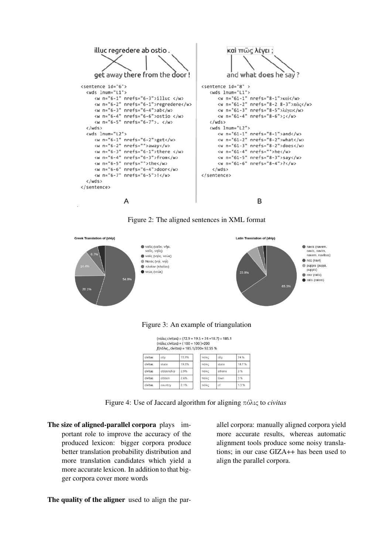

Figure 2: The aligned sentences in XML format



Figure 3: An example of triangulation

(πόλις civitas) = (72.9 + 19.5 + 74 +18.7) = 185.1  $(nóλις civiltas) = (100 + 100) = 200$  $J(nóλις, civitas) = 185.1/200 = 92.55 %$ 

| civitas | city        | 72.9% | πόλις | city   | 74 %  |
|---------|-------------|-------|-------|--------|-------|
| civitas | state       | 19.5% | πόλις | state  | 18.7% |
| civitas | citizenship | 2.9%  | πόλις | athens | 3 %   |
| civitas | citizen     | 2.6%  | πόλις | town   | 3 %   |
| civitas | country     | 2.1%  | πόλις | of     | 1.3%  |

Figure 4: Use of Jaccard algorithm for aligning πόλις to *civitas*

The size of aligned-parallel corpora plays important role to improve the accuracy of the produced lexicon: bigger corpora produce better translation probability distribution and more translation candidates which yield a more accurate lexicon. In addition to that bigger corpora cover more words

allel corpora: manually aligned corpora yield more accurate results, whereas automatic alignment tools produce some noisy translations; in our case GIZA++ has been used to align the parallel corpora.

The quality of the aligner used to align the par-